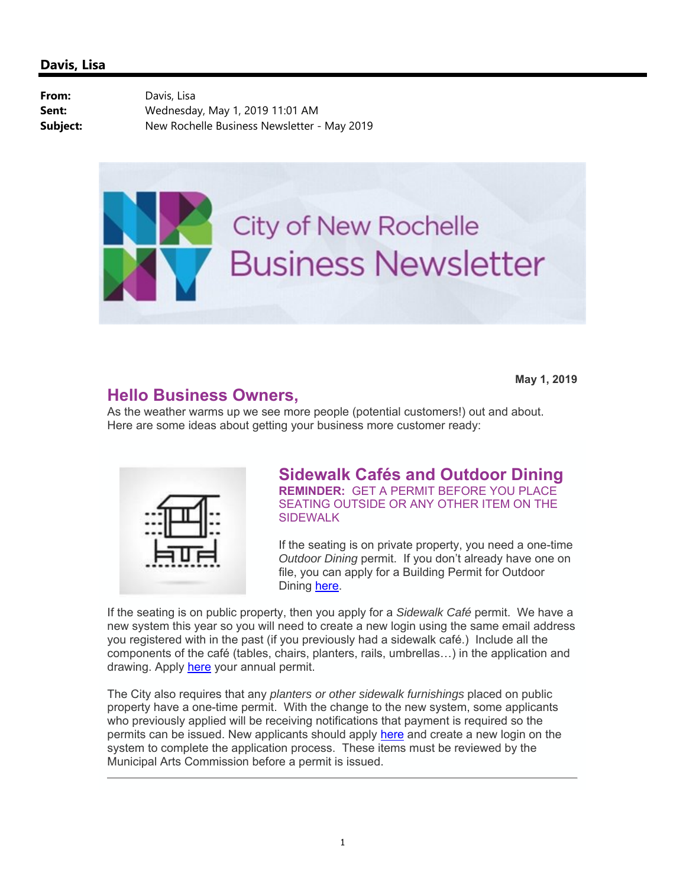From: Davis, Lisa **Sent:** Wednesday, May 1, 2019 11:01 AM **Subject:** New Rochelle Business Newsletter - May 2019



**May 1, 2019**

### **Hello Business Owners,**

As the weather warms up we see more people (potential customers!) out and about. Here are some ideas about getting your business more customer ready:

SIDEWALK



### **Sidewalk Cafés and Outdoor Dining REMINDER:** GET A PERMIT BEFORE YOU PLACE SEATING OUTSIDE OR ANY OTHER ITEM ON THE

If the seating is on private property, you need a one-time *Outdoor Dining* permit. If you don't already have one on file, you can apply for a Building Permit for Outdoor Dining here.

If the seating is on public property, then you apply for a *Sidewalk Café* permit. We have a new system this year so you will need to create a new login using the same email address you registered with in the past (if you previously had a sidewalk café.) Include all the components of the café (tables, chairs, planters, rails, umbrellas…) in the application and drawing. Apply here your annual permit.

The City also requires that any *planters or other sidewalk furnishings* placed on public property have a one-time permit. With the change to the new system, some applicants who previously applied will be receiving notifications that payment is required so the permits can be issued. New applicants should apply here and create a new login on the system to complete the application process. These items must be reviewed by the Municipal Arts Commission before a permit is issued.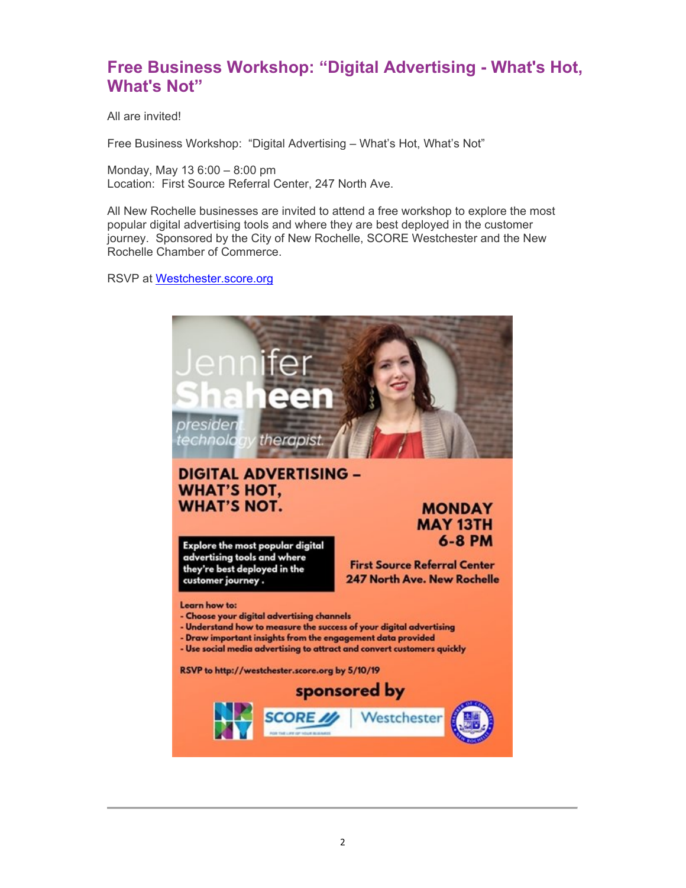## **Free Business Workshop: "Digital Advertising - What's Hot, What's Not"**

All are invited!

Free Business Workshop: "Digital Advertising – What's Hot, What's Not"

Monday, May 13 6:00 – 8:00 pm Location: First Source Referral Center, 247 North Ave.

All New Rochelle businesses are invited to attend a free workshop to explore the most popular digital advertising tools and where they are best deployed in the customer journey. Sponsored by the City of New Rochelle, SCORE Westchester and the New Rochelle Chamber of Commerce.

RSVP at Westchester.score.org

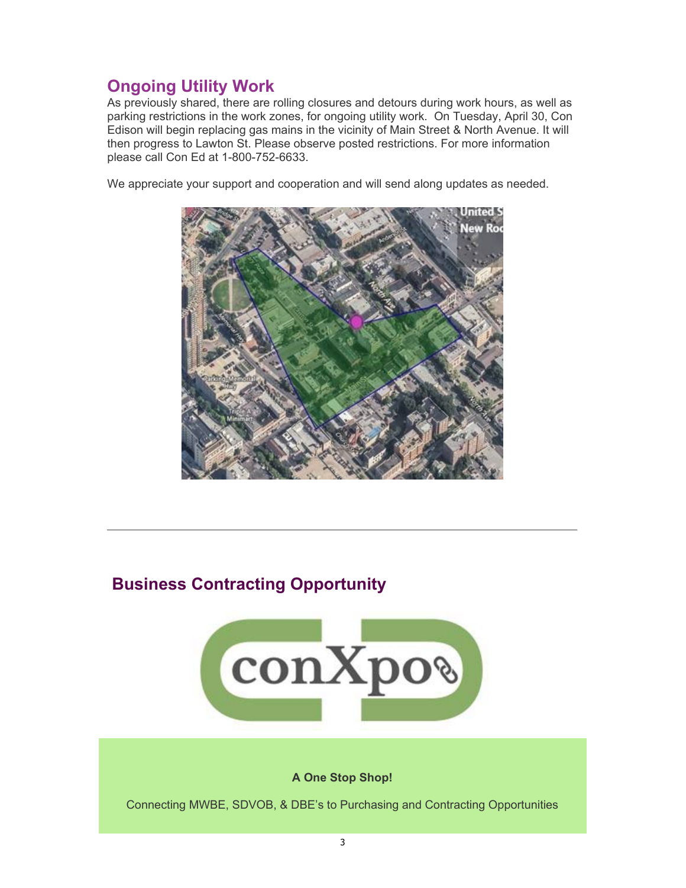# **Ongoing Utility Work**

As previously shared, there are rolling closures and detours during work hours, as well as parking restrictions in the work zones, for ongoing utility work. On Tuesday, April 30, Con Edison will begin replacing gas mains in the vicinity of Main Street & North Avenue. It will then progress to Lawton St. Please observe posted restrictions. For more information please call Con Ed at 1-800-752-6633.

We appreciate your support and cooperation and will send along updates as needed.



# **Business Contracting Opportunity**



#### **A One Stop Shop!**

Connecting MWBE, SDVOB, & DBE's to Purchasing and Contracting Opportunities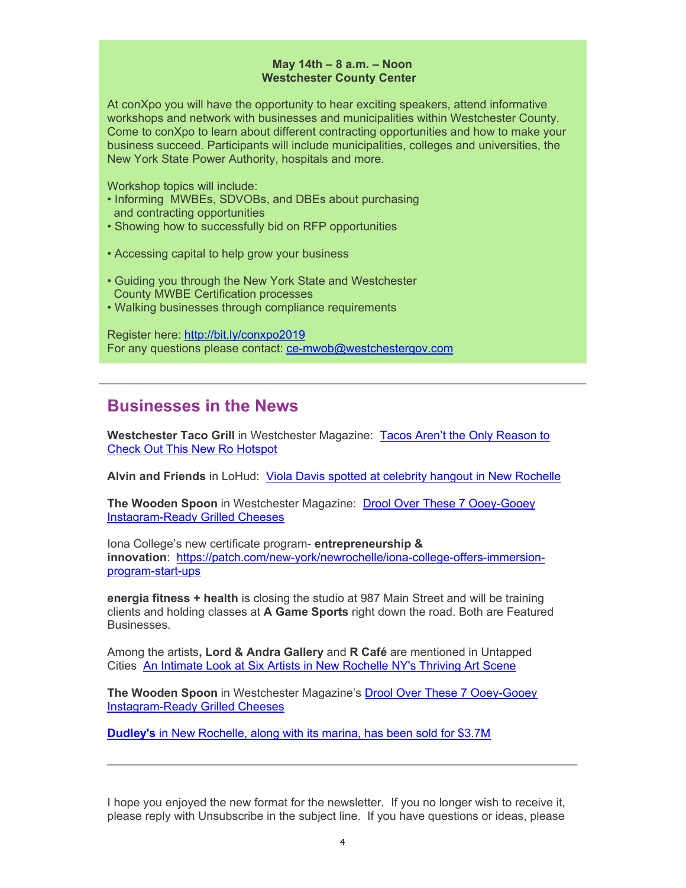#### **May 14th – 8 a.m. – Noon Westchester County Center**

At conXpo you will have the opportunity to hear exciting speakers, attend informative workshops and network with businesses and municipalities within Westchester County. Come to conXpo to learn about different contracting opportunities and how to make your business succeed. Participants will include municipalities, colleges and universities, the New York State Power Authority, hospitals and more.

Workshop topics will include:

- Informing MWBEs, SDVOBs, and DBEs about purchasing and contracting opportunities
- Showing how to successfully bid on RFP opportunities
- Accessing capital to help grow your business
- Guiding you through the New York State and Westchester County MWBE Certification processes
- Walking businesses through compliance requirements

Register here: http://bit.ly/conxpo2019 For any questions please contact: ce-mwob@westchestergov.com

### **Businesses in the News**

**Westchester Taco Grill** in Westchester Magazine: Tacos Aren't the Only Reason to Check Out This New Ro Hotspot

**Alvin and Friends** in LoHud: Viola Davis spotted at celebrity hangout in New Rochelle

**The Wooden Spoon** in Westchester Magazine: Drool Over These 7 Ooey-Gooey Instagram-Ready Grilled Cheeses

Iona College's new certificate program- **entrepreneurship & innovation**: https://patch.com/new-york/newrochelle/iona-college-offers-immersionprogram-start-ups

**energia fitness + health** is closing the studio at 987 Main Street and will be training clients and holding classes at **A Game Sports** right down the road. Both are Featured Businesses.

Among the artists**, Lord & Andra Gallery** and **R Café** are mentioned in Untapped Cities An Intimate Look at Six Artists in New Rochelle NY's Thriving Art Scene

**The Wooden Spoon** in Westchester Magazine's Drool Over These 7 Ooey-Gooey Instagram-Ready Grilled Cheeses

**Dudley's** in New Rochelle, along with its marina, has been sold for \$3.7M

I hope you enjoyed the new format for the newsletter. If you no longer wish to receive it, please reply with Unsubscribe in the subject line. If you have questions or ideas, please